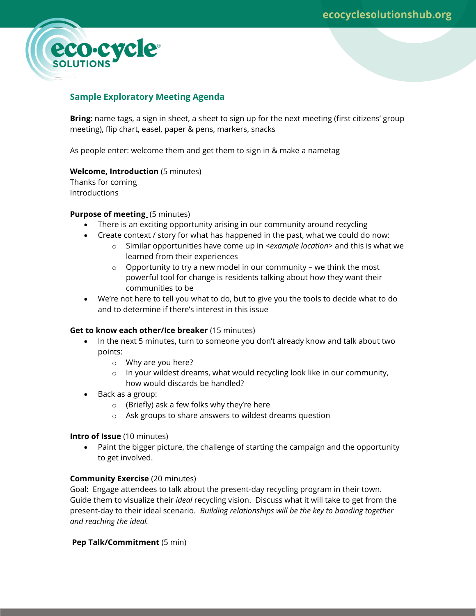

# **Sample Exploratory Meeting Agenda**

**Bring**: name tags, a sign in sheet, a sheet to sign up for the next meeting (first citizens' group meeting), flip chart, easel, paper & pens, markers, snacks

As people enter: welcome them and get them to sign in & make a nametag

# **Welcome, Introduction** (5 minutes)

Thanks for coming **Introductions** 

# **Purpose of meeting** (5 minutes)

- There is an exciting opportunity arising in our community around recycling
- Create context / story for what has happened in the past, what we could do now:
	- o Similar opportunities have come up in *<example location>* and this is what we learned from their experiences
	- $\circ$  Opportunity to try a new model in our community we think the most powerful tool for change is residents talking about how they want their communities to be
- We're not here to tell you what to do, but to give you the tools to decide what to do and to determine if there's interest in this issue

#### **Get to know each other/Ice breaker** (15 minutes)

- In the next 5 minutes, turn to someone you don't already know and talk about two points:
	- o Why are you here?
	- $\circ$  In your wildest dreams, what would recycling look like in our community, how would discards be handled?
- Back as a group:
	- o (Briefly) ask a few folks why they're here
	- o Ask groups to share answers to wildest dreams question

#### **Intro of Issue** (10 minutes)

 Paint the bigger picture, the challenge of starting the campaign and the opportunity to get involved.

# **Community Exercise** (20 minutes)

Goal: Engage attendees to talk about the present-day recycling program in their town. Guide them to visualize their *ideal* recycling vision. Discuss what it will take to get from the present-day to their ideal scenario. *Building relationships will be the key to banding together and reaching the ideal.*

**Pep Talk/Commitment** (5 min)